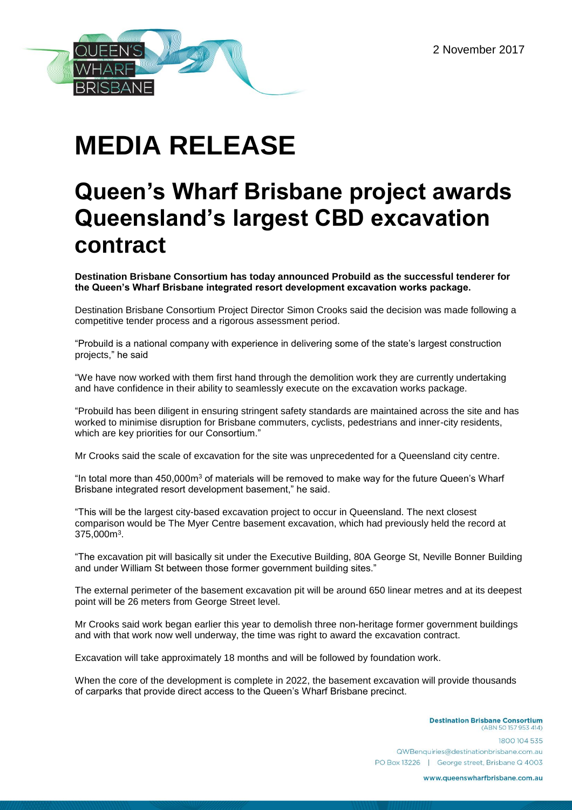

# **MEDIA RELEASE**

# **Queen's Wharf Brisbane project awards Queensland's largest CBD excavation contract**

**Destination Brisbane Consortium has today announced Probuild as the successful tenderer for the Queen's Wharf Brisbane integrated resort development excavation works package.** 

Destination Brisbane Consortium Project Director Simon Crooks said the decision was made following a competitive tender process and a rigorous assessment period.

"Probuild is a national company with experience in delivering some of the state's largest construction projects," he said

"We have now worked with them first hand through the demolition work they are currently undertaking and have confidence in their ability to seamlessly execute on the excavation works package.

"Probuild has been diligent in ensuring stringent safety standards are maintained across the site and has worked to minimise disruption for Brisbane commuters, cyclists, pedestrians and inner-city residents, which are key priorities for our Consortium."

Mr Crooks said the scale of excavation for the site was unprecedented for a Queensland city centre.

"In total more than  $450,000$ m $3$  of materials will be removed to make way for the future Queen's Wharf Brisbane integrated resort development basement," he said.

"This will be the largest city-based excavation project to occur in Queensland. The next closest comparison would be The Myer Centre basement excavation, which had previously held the record at  $375,000$ m $^3$ .

"The excavation pit will basically sit under the Executive Building, 80A George St, Neville Bonner Building and under William St between those former government building sites."

The external perimeter of the basement excavation pit will be around 650 linear metres and at its deepest point will be 26 meters from George Street level.

Mr Crooks said work began earlier this year to demolish three non-heritage former government buildings and with that work now well underway, the time was right to award the excavation contract.

Excavation will take approximately 18 months and will be followed by foundation work.

When the core of the development is complete in 2022, the basement excavation will provide thousands of carparks that provide direct access to the Queen's Wharf Brisbane precinct.